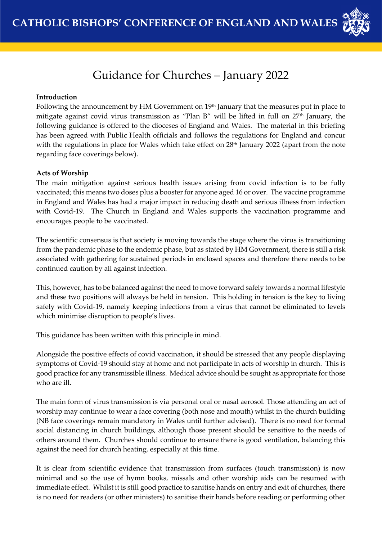

# Guidance for Churches – January 2022

### **Introduction**

Following the announcement by HM Government on 19<sup>th</sup> January that the measures put in place to mitigate against covid virus transmission as "Plan B" will be lifted in full on 27<sup>th</sup> January, the following guidance is offered to the dioceses of England and Wales. The material in this briefing has been agreed with Public Health officials and follows the regulations for England and concur with the regulations in place for Wales which take effect on 28<sup>th</sup> January 2022 (apart from the note regarding face coverings below).

## **Acts of Worship**

The main mitigation against serious health issues arising from covid infection is to be fully vaccinated; this means two doses plus a booster for anyone aged 16 or over. The vaccine programme in England and Wales has had a major impact in reducing death and serious illness from infection with Covid-19. The Church in England and Wales supports the vaccination programme and encourages people to be vaccinated.

The scientific consensus is that society is moving towards the stage where the virus is transitioning from the pandemic phase to the endemic phase, but as stated by HM Government, there is still a risk associated with gathering for sustained periods in enclosed spaces and therefore there needs to be continued caution by all against infection.

This, however, has to be balanced against the need to move forward safely towards a normal lifestyle and these two positions will always be held in tension. This holding in tension is the key to living safely with Covid-19, namely keeping infections from a virus that cannot be eliminated to levels which minimise disruption to people's lives.

This guidance has been written with this principle in mind.

Alongside the positive effects of covid vaccination, it should be stressed that any people displaying symptoms of Covid-19 should stay at home and not participate in acts of worship in church. This is good practice for any transmissible illness. Medical advice should be sought as appropriate for those who are ill.

The main form of virus transmission is via personal oral or nasal aerosol. Those attending an act of worship may continue to wear a face covering (both nose and mouth) whilst in the church building (NB face coverings remain mandatory in Wales until further advised). There is no need for formal social distancing in church buildings, although those present should be sensitive to the needs of others around them. Churches should continue to ensure there is good ventilation, balancing this against the need for church heating, especially at this time.

It is clear from scientific evidence that transmission from surfaces (touch transmission) is now minimal and so the use of hymn books, missals and other worship aids can be resumed with immediate effect. Whilst it is still good practice to sanitise hands on entry and exit of churches, there is no need for readers (or other ministers) to sanitise their hands before reading or performing other